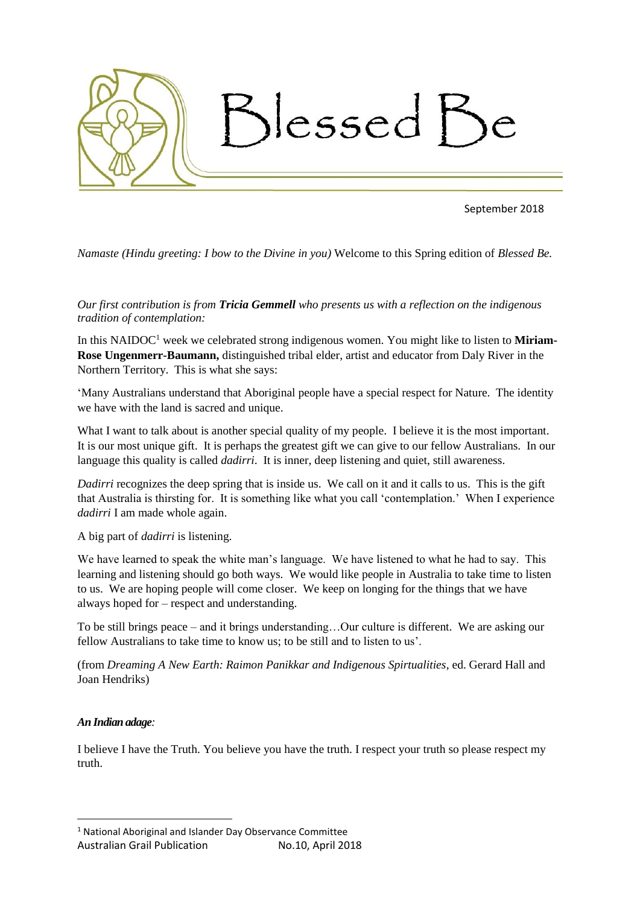

September 2018

*Namaste (Hindu greeting: I bow to the Divine in you)* Welcome to this Spring edition of *Blessed Be.*

*Our first contribution is from Tricia Gemmell who presents us with a reflection on the indigenous tradition of contemplation:*

In this NAIDOC<sup>1</sup> week we celebrated strong indigenous women. You might like to listen to **Miriam-Rose Ungenmerr-Baumann,** distinguished tribal elder, artist and educator from Daly River in the Northern Territory. This is what she says:

'Many Australians understand that Aboriginal people have a special respect for Nature. The identity we have with the land is sacred and unique.

What I want to talk about is another special quality of my people. I believe it is the most important. It is our most unique gift. It is perhaps the greatest gift we can give to our fellow Australians. In our language this quality is called *dadirri*. It is inner, deep listening and quiet, still awareness.

*Dadirri* recognizes the deep spring that is inside us. We call on it and it calls to us. This is the gift that Australia is thirsting for. It is something like what you call 'contemplation.' When I experience *dadirri* I am made whole again.

A big part of *dadirri* is listening.

We have learned to speak the white man's language. We have listened to what he had to say. This learning and listening should go both ways. We would like people in Australia to take time to listen to us. We are hoping people will come closer. We keep on longing for the things that we have always hoped for – respect and understanding.

To be still brings peace – and it brings understanding…Our culture is different. We are asking our fellow Australians to take time to know us; to be still and to listen to us'.

(from *Dreaming A New Earth: Raimon Panikkar and Indigenous Spirtualities*, ed. Gerard Hall and Joan Hendriks)

## *An Indian adage:*

**.** 

I believe I have the Truth. You believe you have the truth. I respect your truth so please respect my truth.

<sup>1</sup> National Aboriginal and Islander Day Observance Committee

Australian Grail Publication No.10, April 2018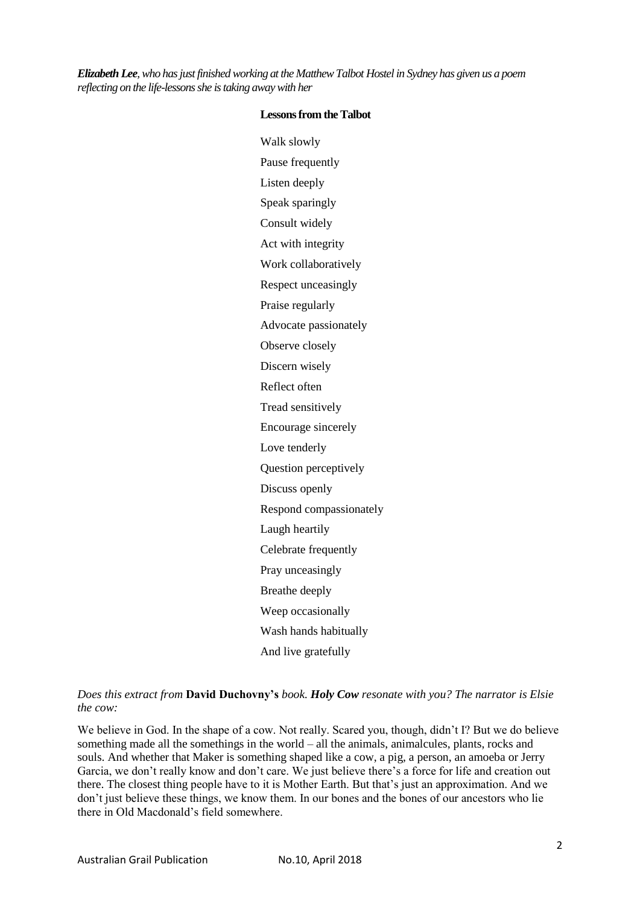*Elizabeth Lee, who has just finished working at the Matthew Talbot Hostel in Sydney has given us a poem reflecting on the life-lessons she is taking away with her*

| Walk slowly             |
|-------------------------|
| Pause frequently        |
| Listen deeply           |
| Speak sparingly         |
| Consult widely          |
| Act with integrity      |
| Work collaboratively    |
| Respect unceasingly     |
| Praise regularly        |
| Advocate passionately   |
| Observe closely         |
| Discern wisely          |
| Reflect often           |
| Tread sensitively       |
| Encourage sincerely     |
|                         |
| Love tenderly           |
| Question perceptively   |
| Discuss openly          |
| Respond compassionately |
| Laugh heartily          |
| Celebrate frequently    |
| Pray unceasingly        |
| Breathe deeply          |
| Weep occasionally       |
| Wash hands habitually   |

#### **Lessons from the Talbot**

*Does this extract from* **David Duchovny's** *book. Holy Cow resonate with you? The narrator is Elsie the cow:*

We believe in God. In the shape of a cow. Not really. Scared you, though, didn't I? But we do believe something made all the somethings in the world – all the animals, animalcules, plants, rocks and souls. And whether that Maker is something shaped like a cow, a pig, a person, an amoeba or Jerry Garcia, we don't really know and don't care. We just believe there's a force for life and creation out there. The closest thing people have to it is Mother Earth. But that's just an approximation. And we don't just believe these things, we know them. In our bones and the bones of our ancestors who lie there in Old Macdonald's field somewhere.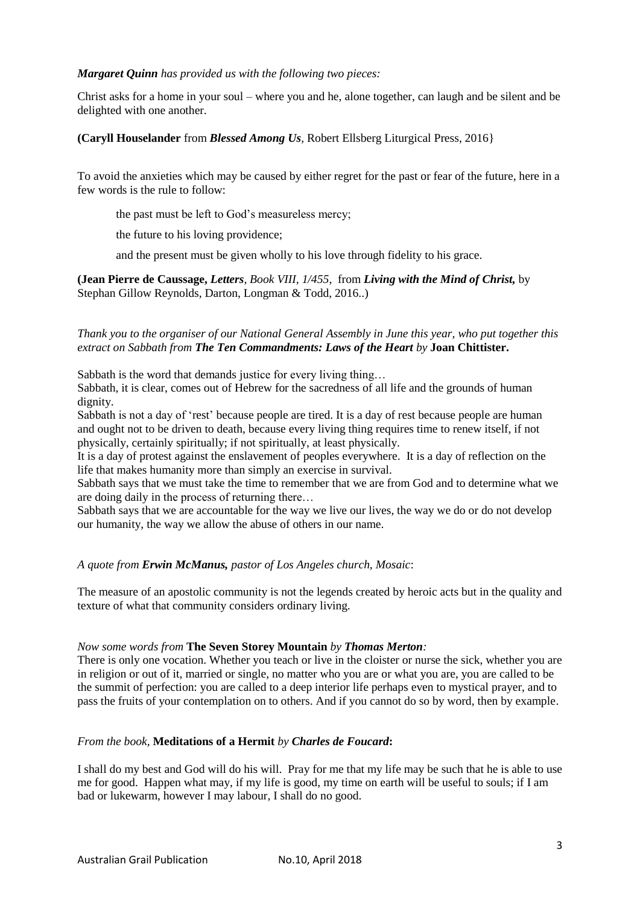# *Margaret Quinn has provided us with the following two pieces:*

Christ asks for a home in your soul – where you and he, alone together, can laugh and be silent and be delighted with one another.

# **(Caryll Houselander** from *Blessed Among Us,* Robert Ellsberg Liturgical Press, 2016}

To avoid the anxieties which may be caused by either regret for the past or fear of the future, here in a few words is the rule to follow:

the past must be left to God's measureless mercy;

the future to his loving providence;

and the present must be given wholly to his love through fidelity to his grace.

**(Jean Pierre de Caussage,** *Letters, Book VIII, 1/455*, from *Living with the Mind of Christ,* by Stephan Gillow Reynolds, Darton, Longman & Todd, 2016..)

## *Thank you to the organiser of our National General Assembly in June this year, who put together this extract on Sabbath from The Ten Commandments: Laws of the Heart by* **Joan Chittister.**

Sabbath is the word that demands justice for every living thing...

Sabbath, it is clear, comes out of Hebrew for the sacredness of all life and the grounds of human dignity.

Sabbath is not a day of 'rest' because people are tired. It is a day of rest because people are human and ought not to be driven to death, because every living thing requires time to renew itself, if not physically, certainly spiritually; if not spiritually, at least physically.

It is a day of protest against the enslavement of peoples everywhere. It is a day of reflection on the life that makes humanity more than simply an exercise in survival.

Sabbath says that we must take the time to remember that we are from God and to determine what we are doing daily in the process of returning there…

Sabbath says that we are accountable for the way we live our lives, the way we do or do not develop our humanity, the way we allow the abuse of others in our name.

## *A quote from Erwin McManus, pastor of Los Angeles church, Mosaic*:

The measure of an apostolic community is not the legends created by heroic acts but in the quality and texture of what that community considers ordinary living.

## *Now some words from* **The Seven Storey Mountain** *by Thomas Merton:*

There is only one vocation. Whether you teach or live in the cloister or nurse the sick, whether you are in religion or out of it, married or single, no matter who you are or what you are, you are called to be the summit of perfection: you are called to a deep interior life perhaps even to mystical prayer, and to pass the fruits of your contemplation on to others. And if you cannot do so by word, then by example.

## *From the book,* **Meditations of a Hermit** *by Charles de Foucard***:**

I shall do my best and God will do his will. Pray for me that my life may be such that he is able to use me for good. Happen what may, if my life is good, my time on earth will be useful to souls; if I am bad or lukewarm, however I may labour, I shall do no good.